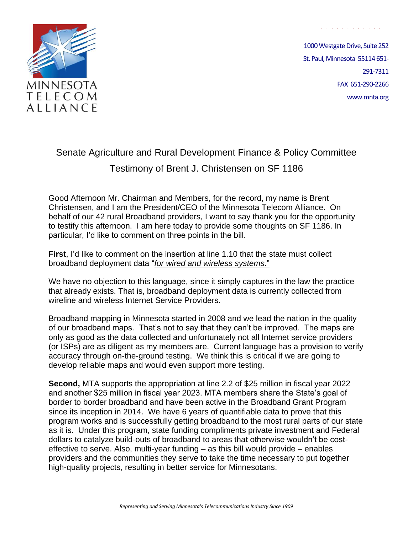

1000 Westgate Drive, Suite 252 St. Paul, Minnesota 55114 651- 291-7311 FAX 651-290-2266 www.mnta.org

. . . . . . . . . . . .

## Senate Agriculture and Rural Development Finance & Policy Committee Testimony of Brent J. Christensen on SF 1186

Good Afternoon Mr. Chairman and Members, for the record, my name is Brent Christensen, and I am the President/CEO of the Minnesota Telecom Alliance. On behalf of our 42 rural Broadband providers, I want to say thank you for the opportunity to testify this afternoon. I am here today to provide some thoughts on SF 1186. In particular, I'd like to comment on three points in the bill.

**First**, I'd like to comment on the insertion at line 1.10 that the state must collect broadband deployment data "*for wired and wireless systems*."

We have no objection to this language, since it simply captures in the law the practice that already exists. That is, broadband deployment data is currently collected from wireline and wireless Internet Service Providers.

Broadband mapping in Minnesota started in 2008 and we lead the nation in the quality of our broadband maps. That's not to say that they can't be improved. The maps are only as good as the data collected and unfortunately not all Internet service providers (or ISPs) are as diligent as my members are. Current language has a provision to verify accuracy through on-the-ground testing. We think this is critical if we are going to develop reliable maps and would even support more testing.

**Second,** MTA supports the appropriation at line 2.2 of \$25 million in fiscal year 2022 and another \$25 million in fiscal year 2023. MTA members share the State's goal of border to border broadband and have been active in the Broadband Grant Program since its inception in 2014. We have 6 years of quantifiable data to prove that this program works and is successfully getting broadband to the most rural parts of our state as it is. Under this program, state funding compliments private investment and Federal dollars to catalyze build-outs of broadband to areas that otherwise wouldn't be costeffective to serve. Also, multi-year funding – as this bill would provide – enables providers and the communities they serve to take the time necessary to put together high-quality projects, resulting in better service for Minnesotans.